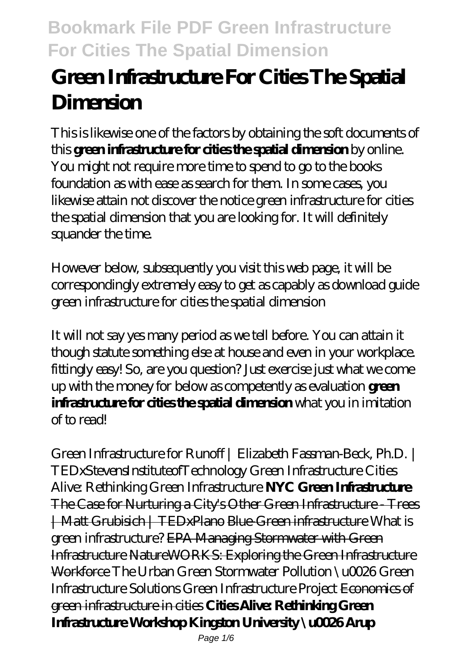# **Green Infrastructure For Cities The Spatial Dimension**

This is likewise one of the factors by obtaining the soft documents of this **green infrastructure for cities the spatial dimension** by online. You might not require more time to spend to go to the books foundation as with ease as search for them. In some cases, you likewise attain not discover the notice green infrastructure for cities the spatial dimension that you are looking for. It will definitely squander the time.

However below, subsequently you visit this web page, it will be correspondingly extremely easy to get as capably as download guide green infrastructure for cities the spatial dimension

It will not say yes many period as we tell before. You can attain it though statute something else at house and even in your workplace. fittingly easy! So, are you question? Just exercise just what we come up with the money for below as competently as evaluation **green infrastructure for cities the spatial dimension** what you in imitation of to read!

*Green Infrastructure for Runoff | Elizabeth Fassman-Beck, Ph.D. | TEDxStevensInstituteofTechnology Green Infrastructure Cities Alive: Rethinking Green Infrastructure* **NYC Green Infrastructure** The Case for Nurturing a City's Other Green Infrastructure - Trees | Matt Grubisich | TEDxPlano Blue-Green infrastructure What is green infrastructure? EPA Managing Stormwater with Green Infrastructure NatureWORKS: Exploring the Green Infrastructure Workforce *The Urban Green* Stormwater Pollution \u0026 Green Infrastructure Solutions Green Infrastructure Project Economics of green infrastructure in cities **Cities Alive: Rethinking Green Infrastructure Workshop Kingston University \u0026 Arup**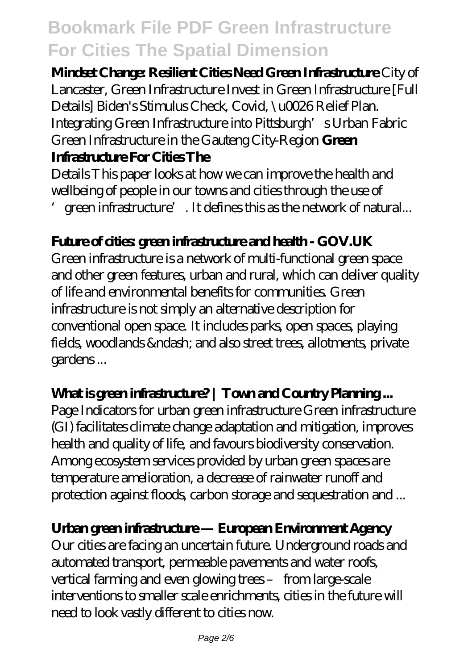**Mindset Change: Resilient Cities Need Green Infrastructure** *City of Lancaster, Green Infrastructure* Invest in Green Infrastructure *[Full Details] Biden's Stimulus Check, Covid, \u0026 Relief Plan. Integrating Green Infrastructure into Pittsburgh's Urban Fabric Green Infrastructure in the Gauteng City-Region* **Green**

#### **Infrastructure For Cities The**

Details This paper looks at how we can improve the health and wellbeing of people in our towns and cities through the use of 'green infrastructure'. It defines this as the network of natural...

### **Future of cities: green infrastructure and health - GOV.UK**

Green infrastructure is a network of multi-functional green space and other green features, urban and rural, which can deliver quality of life and environmental benefits for communities. Green infrastructure is not simply an alternative description for conventional open space. It includes parks, open spaces, playing fields, woodlands & ndash; and also street trees, allotments, private gardens ...

### What is green infrastructure? | Town and Country Planning...

Page Indicators for urban green infrastructure Green infrastructure (GI) facilitates climate change adaptation and mitigation, improves health and quality of life, and favours biodiversity conservation. Among ecosystem services provided by urban green spaces are temperature amelioration, a decrease of rainwater runoff and protection against floods, carbon storage and sequestration and ...

#### **Urban green infrastructure — European Environment Agency**

Our cities are facing an uncertain future. Underground roads and automated transport, permeable pavements and water roofs, vertical farming and even glowing trees – from large-scale interventions to smaller scale enrichments, cities in the future will need to look vastly different to cities now.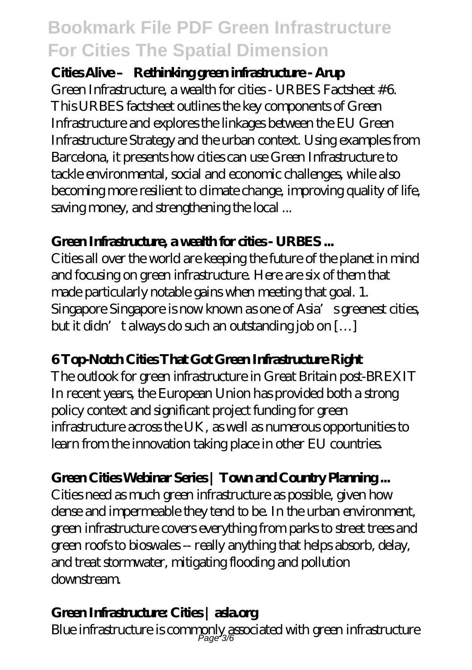#### Cities Alive – Rethinking green infrastructure - Arup

Green Infrastructure, a wealth for cities - URBES Factsheet #6. This URBES factsheet outlines the key components of Green Infrastructure and explores the linkages between the EU Green Infrastructure Strategy and the urban context. Using examples from Barcelona, it presents how cities can use Green Infrastructure to tackle environmental, social and economic challenges, while also becoming more resilient to climate change, improving quality of life, saving money, and strengthening the local ...

#### **Green Infrastructure, a wealth for cities - URBES ...**

Cities all over the world are keeping the future of the planet in mind and focusing on green infrastructure. Here are six of them that made particularly notable gains when meeting that goal. 1. Singapore Singapore is now known as one of Asia's greenest cities, but it didn't always do such an outstanding job on  $[...]$ 

### **6 Top-Notch Cities That Got Green Infrastructure Right**

The outlook for green infrastructure in Great Britain post-BREXIT In recent years, the European Union has provided both a strong policy context and significant project funding for green infrastructure across the UK, as well as numerous opportunities to learn from the innovation taking place in other EU countries.

### **Green Cities Webinar Series | Town and Country Planning ...**

Cities need as much green infrastructure as possible, given how dense and impermeable they tend to be. In the urban environment, green infrastructure covers everything from parks to street trees and green roofs to bioswales -- really anything that helps absorb, delay, and treat stormwater, mitigating flooding and pollution downstream.

### **Green Infrastructure: Cities | asla.org**

Blue infrastructure is commonly associated with green infrastructure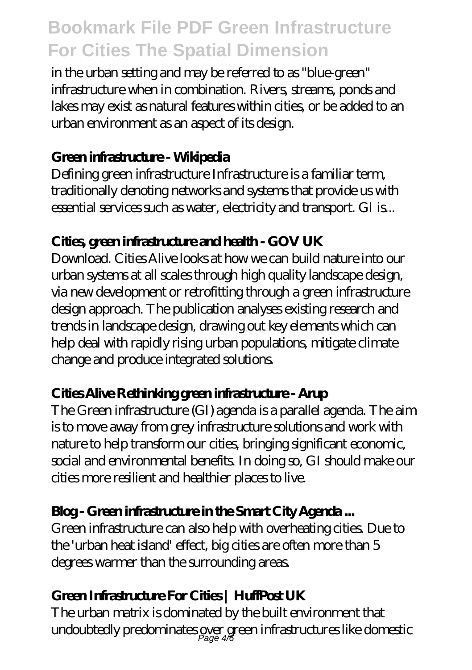in the urban setting and may be referred to as "blue-green" infrastructure when in combination. Rivers, streams, ponds and lakes may exist as natural features within cities, or be added to an urban environment as an aspect of its design.

### **Green infrastructure - Wikipedia**

Defining green infrastructure Infrastructure is a familiar term, traditionally denoting networks and systems that provide us with essential services such as water, electricity and transport. GI is...

### **Cities, green infrastructure and health - GOV UK**

Download. Cities Alive looks at how we can build nature into our urban systems at all scales through high quality landscape design, via new development or retrofitting through a green infrastructure design approach. The publication analyses existing research and trends in landscape design, drawing out key elements which can help deal with rapidly rising urban populations, mitigate climate change and produce integrated solutions.

### **Cities Alive Rethinking green infrastructure - Arup**

The Green infrastructure (GI) agenda is a parallel agenda. The aim is to move away from grey infrastructure solutions and work with nature to help transform our cities, bringing significant economic, social and environmental benefits. In doing so, GI should make our cities more resilient and healthier places to live.

### **Blog - Green infrastructure in the Smart City Agenda ...**

Green infrastructure can also help with overheating cities. Due to the 'urban heat island' effect, big cities are often more than 5 degrees warmer than the surrounding areas.

### **Green Infrastructure For Cities | HuffPost UK**

The urban matrix is dominated by the built environment that undoubtedly predominates gver green infrastructures like domestic  $\rho_{\text{age 4/6}}$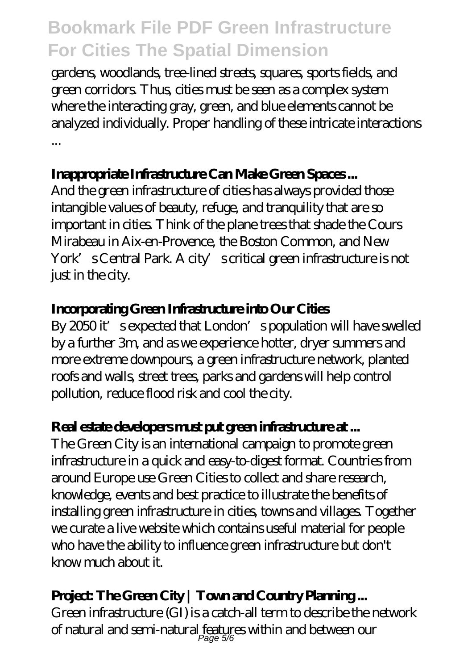gardens, woodlands, tree-lined streets, squares, sports fields, and green corridors. Thus, cities must be seen as a complex system where the interacting gray, green, and blue elements cannot be analyzed individually. Proper handling of these intricate interactions ...

### **Inappropriate Infrastructure Can Make Green Spaces ...**

And the green infrastructure of cities has always provided those intangible values of beauty, refuge, and tranquility that are so important in cities. Think of the plane trees that shade the Cours Mirabeau in Aix-en-Provence, the Boston Common, and New York's Central Park. A city's critical green infrastructure is not just in the city.

### **Incorporating Green Infrastructure into Our Cities**

By 2050 it's expected that London's population will have swelled by a further 3m, and as we experience hotter, dryer summers and more extreme downpours, a green infrastructure network, planted roofs and walls, street trees, parks and gardens will help control pollution, reduce flood risk and cool the city.

### **Real estate developers must put green infrastructure at ...**

The Green City is an international campaign to promote green infrastructure in a quick and easy-to-digest format. Countries from around Europe use Green Cities to collect and share research, knowledge, events and best practice to illustrate the benefits of installing green infrastructure in cities, towns and villages. Together we curate a live website which contains useful material for people who have the ability to influence green infrastructure but don't know much about it.

### Project: The Green City | Town and Country **Planning...**

Green infrastructure (GI) is a catch-all term to describe the network of natural and semi-natural features within and between our Page 5/6